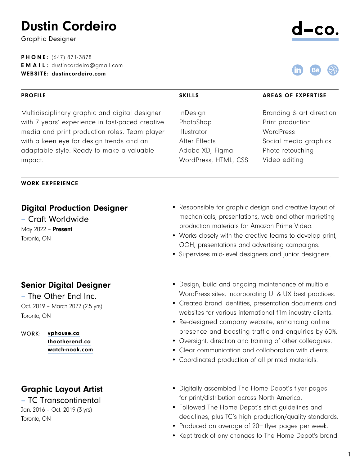# Dustin Cordeiro

Graphic Designer

PHONE: (647) 871-3878 **EMAIL:** dustincordeiro@gmail.com WEBSITE: [dustincordeiro.com](https://dustincordeiro.com/)

#### PROFILE

Multidisciplinary graphic and digital designer with 7 years' experience in fast-paced creative media and print production roles. Team player with a keen eye for design trends and an adaptable style. Ready to make a valuable impact.

#### WORK EXPERIENCE

## Digital Production Designer

– Craft Worldwide May 2022 - **Present** Toronto, ON

## Senior Digital Designer

– The Other End Inc. Oct. 2019 – March 2022 (2.5 yrs) Toronto, ON

WORK: [vphouse.ca](https://www.vphouse.ca/) [theotherend.ca](https://www.theotherend.ca/) [watch-nook.com](https://www.watch-nook.com/)

# Graphic Layout Artist

– TC Transcontinental Jan. 2016 – Oct. 2019 (3 yrs) Toronto, ON

- Responsible for graphic design and creative layout of mechanicals, presentations, web and other marketing production materials for Amazon Prime Video.
- Works closely with the creative teams to develop print, OOH, presentations and advertising campaigns.
- Supervises mid-level designers and junior designers.
- Design, build and ongoing maintenance of multiple WordPress sites, incorporating UI & UX best practices.
- Created brand identities, presentation documents and websites for various international film industry clients.
- Re-designed company website, enhancing online presence and boosting traffic and enquiries by 60%.
- Oversight, direction and training of other colleagues.
- Clear communication and collaboration with clients.
- Coordinated production of all printed materials.
- Digitally assembled The Home Depot's flyer pages for print/distribution across North America.
- Followed The Home Depot's strict guidelines and deadlines, plus TC's high production/quality standards.
- Produced an average of 20+ flyer pages per week.
- Kept track of any changes to The Home Depot's brand.





InDesign PhotoShop Illustrator After Effects Adobe XD, Figma WordPress, HTML, CSS

#### SKILLS AREAS OF EXPERTISE

Branding & art direction Print production **WordPress** Social media graphics Photo retouching Video editing